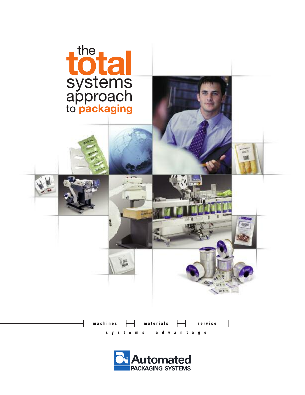

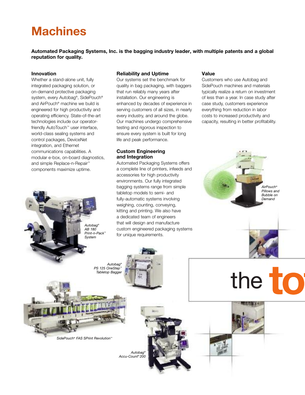## **Machines**

**Automated Packaging Systems, Inc. is the bagging industry leader, with multiple patents and a global reputation for quality.**

#### **Innovation**

Whether a stand-alone unit, fully integrated packaging solution, or on-demand protective packaging system, every Autobag®, SidePouch® and AirPouch® machine we build is engineered for high productivity and operating efficiency. State-of-the-art technologies include our operatorfriendly AutoTouch™ user interface, world-class sealing systems and control packages, DeviceNet integration, and Ethernet communications capabilities. A modular e-box, on-board diagnostics, and simple Replace-n-Repair ™ components maximize uptime.

#### **Reliability and Uptime**

Our systems set the benchmark for quality in bag packaging, with baggers that run reliably many years after installation. Our engineering is enhanced by decades of experience in serving customers of all sizes, in nearly every industry, and around the globe. Our machines undergo comprehensive testing and rigorous inspection to ensure every system is built for long life and peak performance.

#### **Custom Engineering and Integration**

Automated Packaging Systems offers a complete line of printers, infeeds and accessories for high productivity environments. Our fully integrated bagging systems range from simple tabletop models to semi- and fully-automatic systems involving weighing, counting, conveying, kitting and printing. We also have a dedicated team of engineers that will design and manufacture custom engineered packaging systems for unique requirements.

#### **Value**

Customers who use Autobag and SidePouch machines and materials typically realize a return on investment of less than a year. In case study after case study, customers experience everything from reduction in labor costs to increased productivity and capacity, resulting in better profitability.

# the to

*AirPouch® Pillows and Bubble on Demand*



*SidePouch® FAS SPrint Revolution™*

*Autobag® PS 125 OneStep™ Tabletop Bagger*

*Autobag® AB 180 Print-n-Pack™ System*

> *Autobag® Accu-Count ® 200*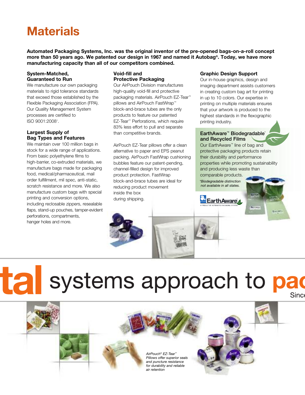## **Materials**

**Automated Packaging Systems, Inc. was the original inventor of the pre-opened bags-on-a-roll concept** more than 50 years ago. We patented our design in 1967 and named it Autobag®. Today, we have more **manufacturing capacity than all of our competitors combined.**

#### **System-Matched, Guaranteed to Run**

We manufacture our own packaging materials to rigid tolerance standards that exceed those established by the Flexible Packaging Association (FPA). Our Quality Management System processes are certified to ISO 9001:20081 .

#### **Largest Supply of Bag Types and Features**

We maintain over 100 million bags in stock for a wide range of applications. From basic polyethylene films to high-barrier, co-extruded materials, we manufacture bags made for packaging food, medical/pharmaceutical, mail order fulfillment, mil spec, anti-static, scratch resistance and more. We also manufacture custom bags with special printing and conversion options, including reclosable zippers, resealable flaps, stand-up pouches, tamper-evident perforations, compartments, hanger holes and more.

#### **Void-fill and Protective Packaging**

Our AirPouch Division manufactures high-quality void-fill and protective packaging materials. AirPouch EZ-Tear ™ pillows and AirPouch FastWrap™ block-and-brace tubes are the only products to feature our patented EZ-Tear ™ Perforations, which require 83% less effort to pull and separate than competitive brands.

AirPouch EZ-Tear pillows offer a clean alternative to paper and EPS peanut packing. AirPouch FastWrap cushioning bubbles feature our patent-pending, channel-filled design for improved product protection. FastWrap block-and-brace tubes are ideal for reducing product movement inside the box during shipping.

#### **Graphic Design Support**

Our in-house graphics, design and imaging department assists customers in creating custom bag art for printing in up to 10 colors. Our expertise in printing on multiple materials ensures that your artwork is produced to the highest standards in the flexographic printing industry.

#### **EarthAware™ Biodegradable\* and Recycled Films**

Our EarthAware™ line of bag and protective packaging products retain their durability and performance properties while promoting sustainability and producing less waste than comparable products.

*\*Biodegradable distinction not available in all states.*



## tal systems approach to pad Sinc

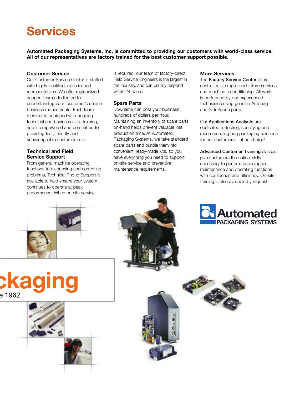## **Services**

**Automated Packaging Systems, Inc. is committed to providing our customers with world-class service. All of our representatives are factory trained for the best customer support possible.**

#### **Customer Service**

Our Customer Service Center is staffed with highly-qualified, experienced representatives. We offer regionalized support teams dedicated to understanding each customer's unique business requirements. Each team member is equipped with ongoing technical and business skills training, and is empowered and committed to providing fast, friendly and knowledgeable customer care.

#### **Technical and Field Service Support**

From general machine operating functions to diagnosing and correcting problems, Technical Phone Support is available to help ensure your system continues to operate at peak performance. When on-site service

is required, our team of factory-direct Field Service Engineers is the largest in the industry, and can usually respond within 24 hours.

#### **Spare Parts**

Downtime can cost your business hundreds of dollars per hour. Maintaining an inventory of spare parts on-hand helps prevent valuable lost production time. At Automated Packaging Systems, we take standard spare parts and bundle them into convenient, ready-made kits, so you have everything you need to support on-site service and preventive maintenance requirements.

#### **More Services**

The **Factory Service Center** offers cost-effective repair-and-return services and machine reconditioning. All work is performed by our experienced technicians using genuine Autobag and SidePouch parts.

#### Our **Applications Analysts** are

dedicated to testing, specifying and recommending bag packaging solutions for our customers – at no charge!

#### **Advanced Customer Training** classes

give customers the critical skills necessary to perform basic repairs, maintenance and operating functions with confidence and efficiency. On-site training is also available by request.







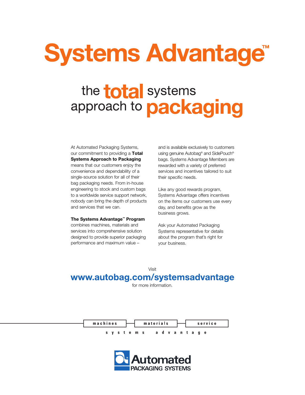## **Systems Advantage®**

## the **total** systems approach to packaging

At Automated Packaging Systems, our commitment to providing a **Total Systems Approach to Packaging** means that our customers enjoy the convenience and dependability of a single-source solution for all of their bag packaging needs. From in-house engineering to stock and custom bags to a worldwide service support network, nobody can bring the depth of products and services that we can.

#### **The Systems Advantage™ Program**

combines machines, materials and services into comprehensive solution designed to provide superior packaging performance and maximum value –

and is available exclusively to customers using genuine Autobag® and SidePouch® bags. Systems Advantage Members are rewarded with a variety of preferred services and incentives tailored to suit their specific needs.

Like any good rewards program, Systems Advantage offers incentives on the items our customers use every day, and benefits grow as the business grows.

Ask your Automated Packaging Systems representative for details about the program that's right for your business.

Visit

#### www.autobag.com/systemsadvantage

for more information.